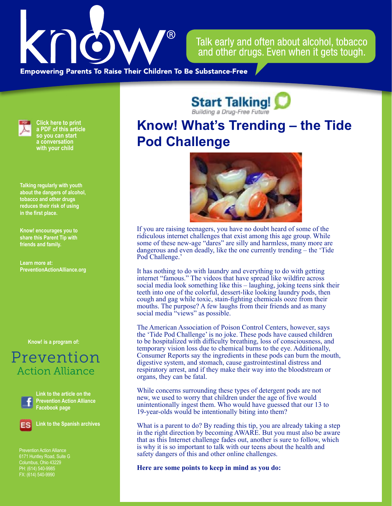

Talk early and often about alcohol, tobacco and other drugs. Even when it gets tough.

**Empowering Parents To Raise Their Children To Be Substance-Free** 

**Pod Challenge**



**Click here to print a PDF of this article so you can start a conversation with your child**

**Talking regularly with youth about the dangers of alcohol, tobacco and other drugs reduces their risk of using in the first place.**

**Know! encourages you to share this Parent Tip with friends and family.**

**Learn more at: PreventionActionAlliance[.org](https://www.drugfreeactionalliance.org/)**

**[Know! is a program of:](https://preventionactionalliance.org/)**

## Prevention **Action Alliance**



**Link to the article on the Prevention Action Alliance Facebook page**



**Link to the Spanish archives**

Prevention Action Alliance Columbus, Ohio 43229 PH: (614) 540-9985 FX: (614) 540-9990

**Start Talking! Know! What's Trending – the Tide** 



If you are raising teenagers, you have no doubt heard of some of the ridiculous internet challenges that exist among this age group. While some of these new-age "dares" are silly and harmless, many more are dangerous and even deadly, like the one currently trending – the 'Tide Pod Challenge.'

It has nothing to do with laundry and everything to do with getting internet "famous." The videos that have spread like wildfire across social media look something like this – laughing, joking teens sink their teeth into one of the colorful, dessert-like looking laundry pods, then cough and gag while toxic, stain-fighting chemicals ooze from their mouths. The purpose? A few laughs from their friends and as many social media "views" as possible.

The American Association of Poison Control Centers, however, says the 'Tide Pod Challenge' is no joke. These pods have caused children to be hospitalized with difficulty breathing, loss of consciousness, and temporary vision loss due to chemical burns to the eye. Additionally, Consumer Reports say the ingredients in these pods can burn the mouth, digestive system, and stomach, cause gastrointestinal distress and respiratory arrest, and if they make their way into the bloodstream or organs, they can be fatal.

While concerns surrounding these types of detergent pods are not new, we used to worry that children under the age of five would unintentionally ingest them. Who would have guessed that our 13 to 19-year-olds would be intentionally biting into them?

What is a parent to do? By reading this tip, you are already taking a step in the right direction by becoming AWARE. But you must also be aware that as this Internet challenge fades out, another is sure to follow, which is why it is so important to talk with our teens about the health and safety dangers of this and other online challenges.

**Here are some points to keep in mind as you do:**